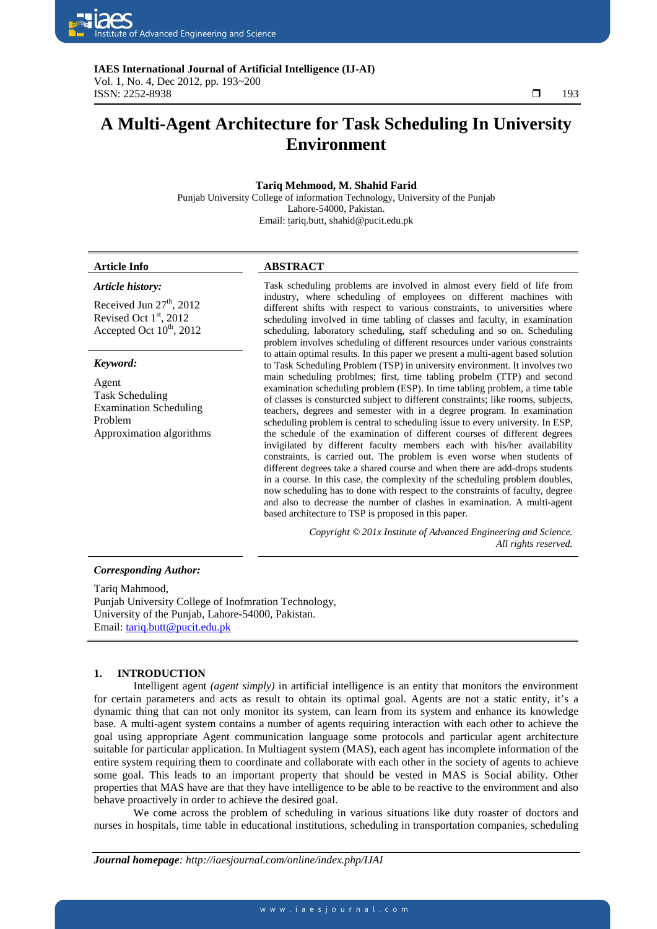

**IAES International Journal of Artificial Intelligence (IJ-AI)**  Vol. 1, No. 4, Dec 2012, pp. 193~200  $\Box$  193

٦

# **A Multi-Agent Architecture for Task Scheduling In University Environment**

# **Tariq Mehmood, M. Shahid Farid**

Punjab University College of information Technology, University of the Punjab Lahore-54000, Pakistan. Email: tariq.butt[, shahid@pucit.edu.pk](mailto:shahid@pucit.edu.pk) 

# **Article Info ABSTRACT**

*Article history:*

Received Jun  $27<sup>th</sup>$ , 2012 Revised Oct  $1<sup>st</sup>$ , 2012 Accepted Oct  $10^{th}$ , 2012

#### *Keyword:*

Agent Task Scheduling Examination Scheduling Problem Approximation algorithms Task scheduling problems are involved in almost every field of life from industry, where scheduling of employees on different machines with different shifts with respect to various constraints, to universities where scheduling involved in time tabling of classes and faculty, in examination scheduling, laboratory scheduling, staff scheduling and so on. Scheduling problem involves scheduling of different resources under various constraints to attain optimal results. In this paper we present a multi-agent based solution to Task Scheduling Problem (TSP) in university environment. It involves two main scheduling problmes; first, time tabling probelm (TTP) and second examination scheduling problem (ESP). In time tabling problem, a time table of classes is consturcted subject to different constraints; like rooms, subjects, teachers, degrees and semester with in a degree program. In examination scheduling problem is central to scheduling issue to every university. In ESP, the schedule of the examination of different courses of different degrees invigilated by different faculty members each with his/her availability constraints, is carried out. The problem is even worse when students of different degrees take a shared course and when there are add-drops students in a course. In this case, the complexity of the scheduling problem doubles, now scheduling has to done with respect to the constraints of faculty, degree and also to decrease the number of clashes in examination. A multi-agent based architecture to TSP is proposed in this paper.

> *Copyright © 201x Institute of Advanced Engineering and Science. All rights reserved.*

#### *Corresponding Author:*

Tariq Mahmood, Punjab University College of Inofmration Technology, University of the Punjab, Lahore-54000, Pakistan. Email: [tariq.butt@pucit.edu.pk](mailto:tariq.butt@pucit.edu.pk)

#### **1. INTRODUCTION**

Intelligent agent *(agent simply)* in artificial intelligence is an entity that monitors the environment for certain parameters and acts as result to obtain its optimal goal. Agents are not a static entity, it's a dynamic thing that can not only monitor its system, can learn from its system and enhance its knowledge base. A multi-agent system contains a number of agents requiring interaction with each other to achieve the goal using appropriate Agent communication language some protocols and particular agent architecture suitable for particular application. In Multiagent system (MAS), each agent has incomplete information of the entire system requiring them to coordinate and collaborate with each other in the society of agents to achieve some goal. This leads to an important property that should be vested in MAS is Social ability. Other properties that MAS have are that they have intelligence to be able to be reactive to the environment and also behave proactively in order to achieve the desired goal.

We come across the problem of scheduling in various situations like duty roaster of doctors and nurses in hospitals, time table in educational institutions, scheduling in transportation companies, scheduling

*Journal homepage: http://iaesjournal.com/online/index.php/IJAI*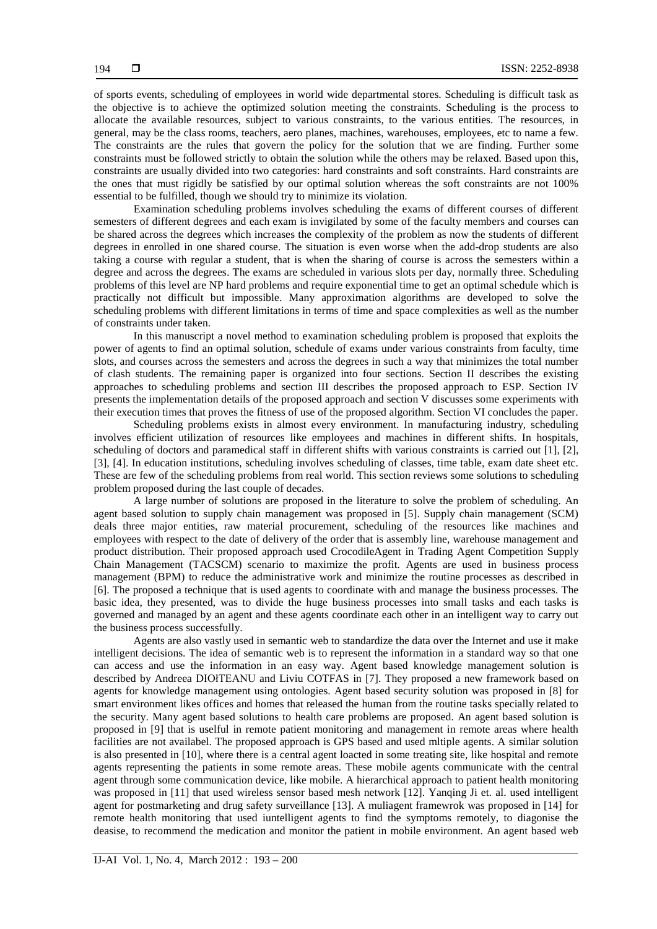of sports events, scheduling of employees in world wide departmental stores. Scheduling is difficult task as the objective is to achieve the optimized solution meeting the constraints. Scheduling is the process to allocate the available resources, subject to various constraints, to the various entities. The resources, in general, may be the class rooms, teachers, aero planes, machines, warehouses, employees, etc to name a few. The constraints are the rules that govern the policy for the solution that we are finding. Further some constraints must be followed strictly to obtain the solution while the others may be relaxed. Based upon this, constraints are usually divided into two categories: hard constraints and soft constraints. Hard constraints are the ones that must rigidly be satisfied by our optimal solution whereas the soft constraints are not 100% essential to be fulfilled, though we should try to minimize its violation.

Examination scheduling problems involves scheduling the exams of different courses of different semesters of different degrees and each exam is invigilated by some of the faculty members and courses can be shared across the degrees which increases the complexity of the problem as now the students of different degrees in enrolled in one shared course. The situation is even worse when the add-drop students are also taking a course with regular a student, that is when the sharing of course is across the semesters within a degree and across the degrees. The exams are scheduled in various slots per day, normally three. Scheduling problems of this level are NP hard problems and require exponential time to get an optimal schedule which is practically not difficult but impossible. Many approximation algorithms are developed to solve the scheduling problems with different limitations in terms of time and space complexities as well as the number of constraints under taken.

In this manuscript a novel method to examination scheduling problem is proposed that exploits the power of agents to find an optimal solution, schedule of exams under various constraints from faculty, time slots, and courses across the semesters and across the degrees in such a way that minimizes the total number of clash students. The remaining paper is organized into four sections. Section II describes the existing approaches to scheduling problems and section III describes the proposed approach to ESP. Section IV presents the implementation details of the proposed approach and section V discusses some experiments with their execution times that proves the fitness of use of the proposed algorithm. Section VI concludes the paper.

Scheduling problems exists in almost every environment. In manufacturing industry, scheduling involves efficient utilization of resources like employees and machines in different shifts. In hospitals, scheduling of doctors and paramedical staff in different shifts with various constraints is carried out [1], [2], [3], [4]. In education institutions, scheduling involves scheduling of classes, time table, exam date sheet etc. These are few of the scheduling problems from real world. This section reviews some solutions to scheduling problem proposed during the last couple of decades.

A large number of solutions are proposed in the literature to solve the problem of scheduling. An agent based solution to supply chain management was proposed in [5]. Supply chain management (SCM) deals three major entities, raw material procurement, scheduling of the resources like machines and employees with respect to the date of delivery of the order that is assembly line, warehouse management and product distribution. Their proposed approach used CrocodileAgent in Trading Agent Competition Supply Chain Management (TACSCM) scenario to maximize the profit. Agents are used in business process management (BPM) to reduce the administrative work and minimize the routine processes as described in [6]. The proposed a technique that is used agents to coordinate with and manage the business processes. The basic idea, they presented, was to divide the huge business processes into small tasks and each tasks is governed and managed by an agent and these agents coordinate each other in an intelligent way to carry out the business process successfully.

Agents are also vastly used in semantic web to standardize the data over the Internet and use it make intelligent decisions. The idea of semantic web is to represent the information in a standard way so that one can access and use the information in an easy way. Agent based knowledge management solution is described by Andreea DIOłTEANU and Liviu COTFAS in [7]. They proposed a new framework based on agents for knowledge management using ontologies. Agent based security solution was proposed in [8] for smart environment likes offices and homes that released the human from the routine tasks specially related to the security. Many agent based solutions to health care problems are proposed. An agent based solution is proposed in [9] that is uselful in remote patient monitoring and management in remote areas where health facilities are not availabel. The proposed approach is GPS based and used mltiple agents. A similar solution is also presented in [10], where there is a central agent loacted in some treating site, like hospital and remote agents representing the patients in some remote areas. These mobile agents communicate with the central agent through some communication device, like mobile. A hierarchical approach to patient health monitoring was proposed in [11] that used wireless sensor based mesh network [12]. Yanging Ji et. al. used intelligent agent for postmarketing and drug safety surveillance [13]. A muliagent framewrok was proposed in [14] for remote health monitoring that used iuntelligent agents to find the symptoms remotely, to diagonise the deasise, to recommend the medication and monitor the patient in mobile environment. An agent based web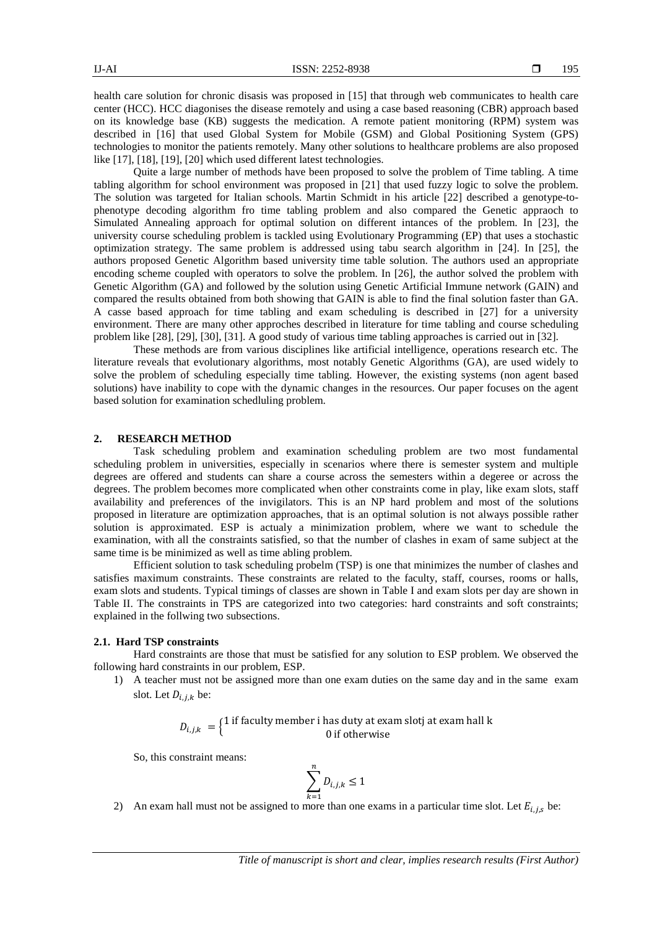health care solution for chronic disasis was proposed in [15] that through web communicates to health care center (HCC). HCC diagonises the disease remotely and using a case based reasoning (CBR) approach based on its knowledge base (KB) suggests the medication. A remote patient monitoring (RPM) system was described in [16] that used Global System for Mobile (GSM) and Global Positioning System (GPS) technologies to monitor the patients remotely. Many other solutions to healthcare problems are also proposed like [17], [18], [19], [20] which used different latest technologies.

Quite a large number of methods have been proposed to solve the problem of Time tabling. A time tabling algorithm for school environment was proposed in [21] that used fuzzy logic to solve the problem. The solution was targeted for Italian schools. Martin Schmidt in his article [22] described a genotype-tophenotype decoding algorithm fro time tabling problem and also compared the Genetic appraoch to Simulated Annealing approach for optimal solution on different intances of the problem. In [23], the university course scheduling problem is tackled using Evolutionary Programming (EP) that uses a stochastic optimization strategy. The same problem is addressed using tabu search algorithm in [24]. In [25], the authors proposed Genetic Algorithm based university time table solution. The authors used an appropriate encoding scheme coupled with operators to solve the problem. In [26], the author solved the problem with Genetic Algorithm (GA) and followed by the solution using Genetic Artificial Immune network (GAIN) and compared the results obtained from both showing that GAIN is able to find the final solution faster than GA. A casse based approach for time tabling and exam scheduling is described in [27] for a university environment. There are many other approches described in literature for time tabling and course scheduling problem like [28], [29], [30], [31]. A good study of various time tabling approaches is carried out in [32].

These methods are from various disciplines like artificial intelligence, operations research etc. The literature reveals that evolutionary algorithms, most notably Genetic Algorithms (GA), are used widely to solve the problem of scheduling especially time tabling. However, the existing systems (non agent based solutions) have inability to cope with the dynamic changes in the resources. Our paper focuses on the agent based solution for examination schedluling problem.

#### **2. RESEARCH METHOD**

Task scheduling problem and examination scheduling problem are two most fundamental scheduling problem in universities, especially in scenarios where there is semester system and multiple degrees are offered and students can share a course across the semesters within a degeree or across the degrees. The problem becomes more complicated when other constraints come in play, like exam slots, staff availability and preferences of the invigilators. This is an NP hard problem and most of the solutions proposed in literature are optimization approaches, that is an optimal solution is not always possible rather solution is approximated. ESP is actualy a minimization problem, where we want to schedule the examination, with all the constraints satisfied, so that the number of clashes in exam of same subject at the same time is be minimized as well as time abling problem.

Efficient solution to task scheduling probelm (TSP) is one that minimizes the number of clashes and satisfies maximum constraints. These constraints are related to the faculty, staff, courses, rooms or halls, exam slots and students. Typical timings of classes are shown in Table I and exam slots per day are shown in Table II. The constraints in TPS are categorized into two categories: hard constraints and soft constraints; explained in the follwing two subsections.

### **2.1. Hard TSP constraints**

Hard constraints are those that must be satisfied for any solution to ESP problem. We observed the following hard constraints in our problem, ESP.

1) A teacher must not be assigned more than one exam duties on the same day and in the same exam slot. Let  $D_{i,j,k}$  be:

> $D_{i,j,k} = \begin{cases} 1 \text{ if faculty member i has duty at exam slotj at exam hall k} \\ 0 \text{ if otherwise} \end{cases}$ 0 if otherwise

So, this constraint means:

$$
\sum_{k=1}^{n} D_{i,j,k} \le 1
$$

2) An exam hall must not be assigned to more than one exams in a particular time slot. Let  $E_{i,j,s}$  be: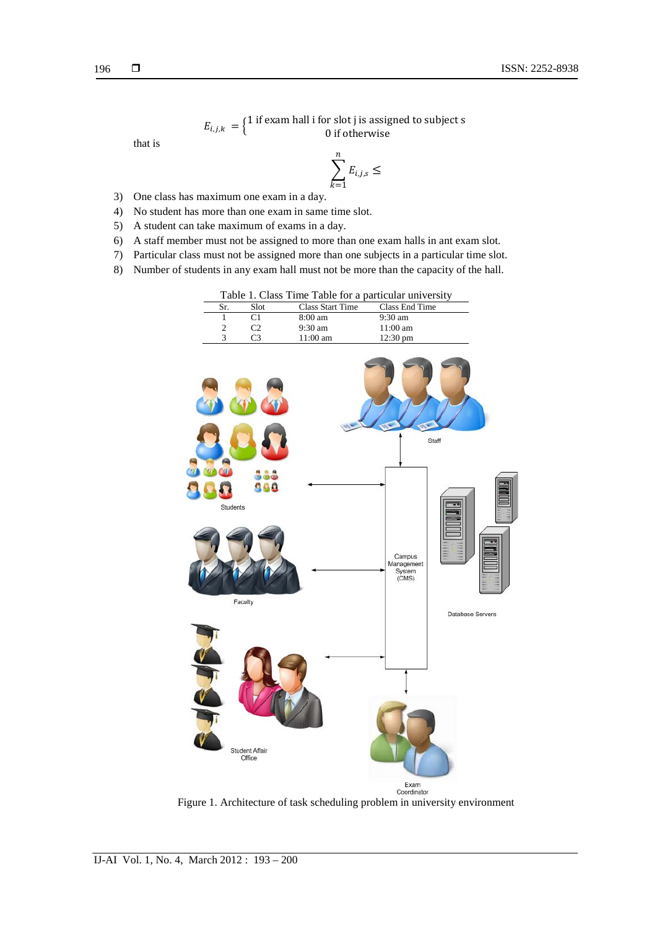$E_{i,j,k} = \left\{ \begin{matrix} 1 \text{ if exam hall I for slot J is assigned to subject s} \\ 0 \text{ if otherwise} \end{matrix} \right.$ 0 if otherwise

that is

$$
\sum_{k=1}^n E_{i,j,s} \leq
$$

- 3) One class has maximum one exam in a day.
- 4) No student has more than one exam in same time slot.
- 5) A student can take maximum of exams in a day.
- 6) A staff member must not be assigned to more than one exam halls in ant exam slot.
- 7) Particular class must not be assigned more than one subjects in a particular time slot.
- 8) Number of students in any exam hall must not be more than the capacity of the hall.

|     |        | Table 1. Class Time Table for a particular university |                   |
|-----|--------|-------------------------------------------------------|-------------------|
| Sr. | – Slot | Class Start Time Class End Time                       |                   |
|     |        | $8:00 \text{ am}$                                     | $9:30 \text{ am}$ |



Figure 1. Architecture of task scheduling problem in university environment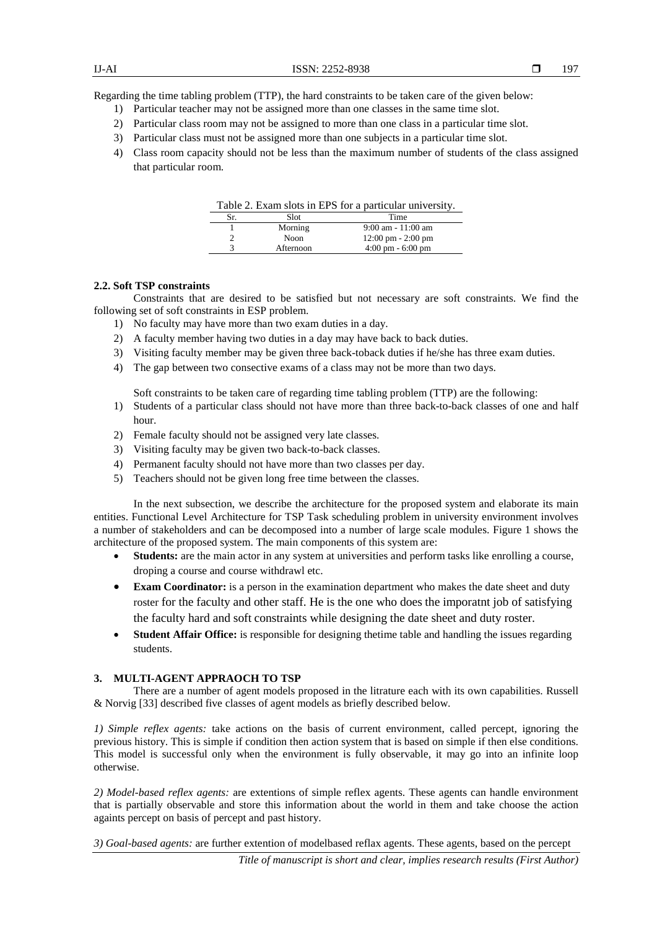Regarding the time tabling problem (TTP), the hard constraints to be taken care of the given below:

- 1) Particular teacher may not be assigned more than one classes in the same time slot.
- 2) Particular class room may not be assigned to more than one class in a particular time slot.
- 3) Particular class must not be assigned more than one subjects in a particular time slot.
- 4) Class room capacity should not be less than the maximum number of students of the class assigned that particular room.

| Table 2. Exam slots in EPS for a particular university. |           |                                      |  |  |
|---------------------------------------------------------|-----------|--------------------------------------|--|--|
| Sr.                                                     | Slot      | Time                                 |  |  |
|                                                         | Morning   | $9:00$ am - $11:00$ am               |  |  |
|                                                         | Noon      | $12:00 \text{ pm} - 2:00 \text{ pm}$ |  |  |
|                                                         | Afternoon | $4:00 \text{ pm} - 6:00 \text{ pm}$  |  |  |

# **2.2. Soft TSP constraints**

Constraints that are desired to be satisfied but not necessary are soft constraints. We find the following set of soft constraints in ESP problem.

- 1) No faculty may have more than two exam duties in a day.
- 2) A faculty member having two duties in a day may have back to back duties.
- 3) Visiting faculty member may be given three back-toback duties if he/she has three exam duties.
- 4) The gap between two consective exams of a class may not be more than two days.

Soft constraints to be taken care of regarding time tabling problem (TTP) are the following:

- 1) Students of a particular class should not have more than three back-to-back classes of one and half hour.
- 2) Female faculty should not be assigned very late classes.
- 3) Visiting faculty may be given two back-to-back classes.
- 4) Permanent faculty should not have more than two classes per day.
- 5) Teachers should not be given long free time between the classes.

In the next subsection, we describe the architecture for the proposed system and elaborate its main entities. Functional Level Architecture for TSP Task scheduling problem in university environment involves a number of stakeholders and can be decomposed into a number of large scale modules. Figure 1 shows the architecture of the proposed system. The main components of this system are:

- **Students:** are the main actor in any system at universities and perform tasks like enrolling a course, droping a course and course withdrawl etc.
- **Exam Coordinator:** is a person in the examination department who makes the date sheet and duty roster for the faculty and other staff. He is the one who does the imporatnt job of satisfying the faculty hard and soft constraints while designing the date sheet and duty roster.
- **Student Affair Office:** is responsible for designing thetime table and handling the issues regarding students.

# **3. MULTI-AGENT APPRAOCH TO TSP**

There are a number of agent models proposed in the litrature each with its own capabilities. Russell & Norvig [33] described five classes of agent models as briefly described below.

*1) Simple reflex agents:* take actions on the basis of current environment, called percept, ignoring the previous history. This is simple if condition then action system that is based on simple if then else conditions. This model is successful only when the environment is fully observable, it may go into an infinite loop otherwise.

*2) Model-based reflex agents:* are extentions of simple reflex agents. These agents can handle environment that is partially observable and store this information about the world in them and take choose the action againts percept on basis of percept and past history.

*3) Goal-based agents:* are further extention of modelbased reflax agents. These agents, based on the percept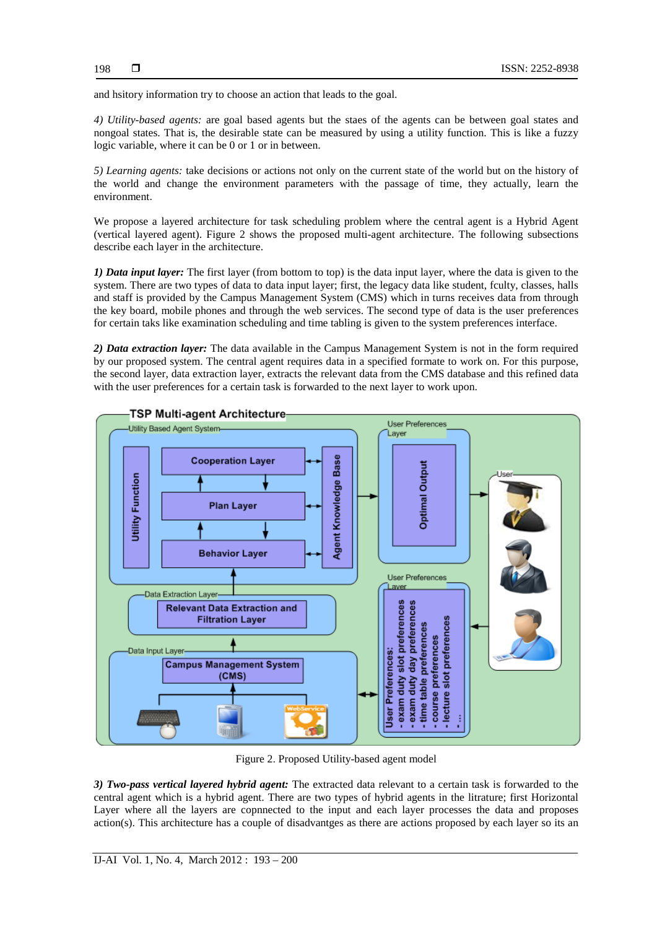and hsitory information try to choose an action that leads to the goal.

*4) Utility-based agents:* are goal based agents but the staes of the agents can be between goal states and nongoal states. That is, the desirable state can be measured by using a utility function. This is like a fuzzy logic variable, where it can be 0 or 1 or in between.

*5) Learning agents:* take decisions or actions not only on the current state of the world but on the history of the world and change the environment parameters with the passage of time, they actually, learn the environment.

We propose a layered architecture for task scheduling problem where the central agent is a Hybrid Agent (vertical layered agent). Figure 2 shows the proposed multi-agent architecture. The following subsections describe each layer in the architecture.

*1) Data input layer:* The first layer (from bottom to top) is the data input layer, where the data is given to the system. There are two types of data to data input layer; first, the legacy data like student, fculty, classes, halls and staff is provided by the Campus Management System (CMS) which in turns receives data from through the key board, mobile phones and through the web services. The second type of data is the user preferences for certain taks like examination scheduling and time tabling is given to the system preferences interface.

*2) Data extraction layer:* The data available in the Campus Management System is not in the form required by our proposed system. The central agent requires data in a specified formate to work on. For this purpose, the second layer, data extraction layer, extracts the relevant data from the CMS database and this refined data with the user preferences for a certain task is forwarded to the next layer to work upon.



Figure 2. Proposed Utility-based agent model

*3) Two-pass vertical layered hybrid agent:* The extracted data relevant to a certain task is forwarded to the central agent which is a hybrid agent. There are two types of hybrid agents in the litrature; first Horizontal Layer where all the layers are copnnected to the input and each layer processes the data and proposes action(s). This architecture has a couple of disadvantges as there are actions proposed by each layer so its an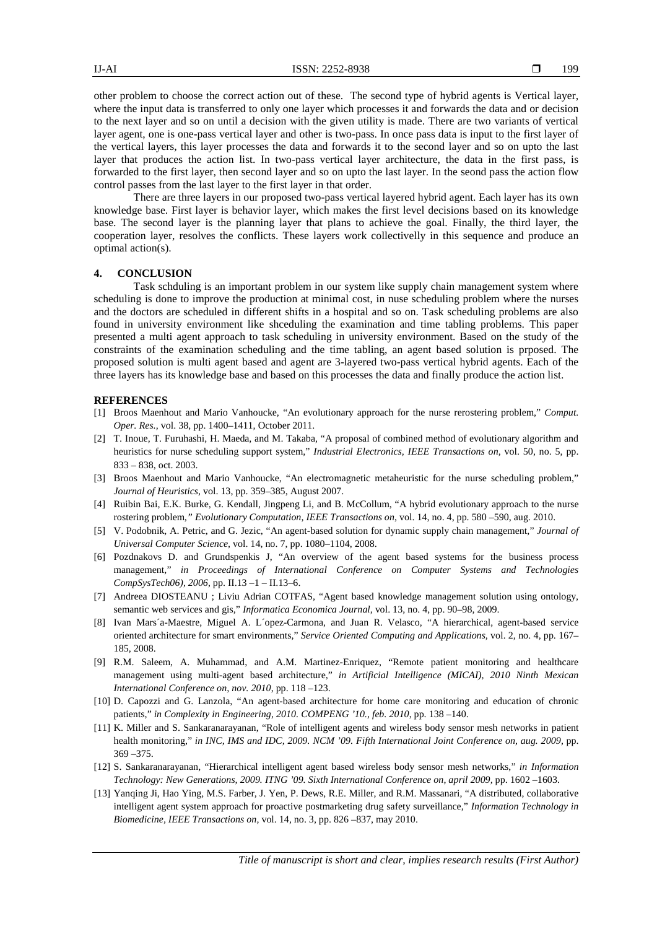other problem to choose the correct action out of these. The second type of hybrid agents is Vertical layer, where the input data is transferred to only one layer which processes it and forwards the data and or decision to the next layer and so on until a decision with the given utility is made. There are two variants of vertical layer agent, one is one-pass vertical layer and other is two-pass. In once pass data is input to the first layer of the vertical layers, this layer processes the data and forwards it to the second layer and so on upto the last layer that produces the action list. In two-pass vertical layer architecture, the data in the first pass, is forwarded to the first layer, then second layer and so on upto the last layer. In the seond pass the action flow control passes from the last layer to the first layer in that order.

There are three layers in our proposed two-pass vertical layered hybrid agent. Each layer has its own knowledge base. First layer is behavior layer, which makes the first level decisions based on its knowledge base. The second layer is the planning layer that plans to achieve the goal. Finally, the third layer, the cooperation layer, resolves the conflicts. These layers work collectivelly in this sequence and produce an optimal action(s).

# **4. CONCLUSION**

Task schduling is an important problem in our system like supply chain management system where scheduling is done to improve the production at minimal cost, in nuse scheduling problem where the nurses and the doctors are scheduled in different shifts in a hospital and so on. Task scheduling problems are also found in university environment like shceduling the examination and time tabling problems. This paper presented a multi agent approach to task scheduling in university environment. Based on the study of the constraints of the examination scheduling and the time tabling, an agent based solution is prposed. The proposed solution is multi agent based and agent are 3-layered two-pass vertical hybrid agents. Each of the three layers has its knowledge base and based on this processes the data and finally produce the action list.

### **REFERENCES**

- [1] Broos Maenhout and Mario Vanhoucke, "An evolutionary approach for the nurse rerostering problem," *Comput. Oper. Res.*, vol. 38, pp. 1400–1411, October 2011.
- [2] T. Inoue, T. Furuhashi, H. Maeda, and M. Takaba, "A proposal of combined method of evolutionary algorithm and heuristics for nurse scheduling support system," *Industrial Electronics, IEEE Transactions on*, vol. 50, no. 5, pp. 833 – 838, oct. 2003.
- [3] Broos Maenhout and Mario Vanhoucke, "An electromagnetic metaheuristic for the nurse scheduling problem," *Journal of Heuristics,* vol. 13, pp. 359–385, August 2007.
- [4] Ruibin Bai, E.K. Burke, G. Kendall, Jingpeng Li, and B. McCollum, "A hybrid evolutionary approach to the nurse rostering problem*," Evolutionary Computation, IEEE Transactions on*, vol. 14, no. 4, pp. 580 –590, aug. 2010.
- [5] V. Podobnik, A. Petric, and G. Jezic, "An agent-based solution for dynamic supply chain management," *Journal of Universal Computer Science,* vol. 14, no. 7, pp. 1080–1104, 2008.
- [6] Pozdnakovs D. and Grundspenkis J, "An overview of the agent based systems for the business process management," *in Proceedings of International Conference on Computer Systems and Technologies CompSysTech06), 2006*, pp. II.13 –1 – II.13–6.
- [7] Andreea DIOSTEANU ; Liviu Adrian COTFAS, "Agent based knowledge management solution using ontology, semantic web services and gis," *Informatica Economica Journal*, vol. 13, no. 4, pp. 90–98, 2009.
- [8] Ivan Mars´a-Maestre, Miguel A. L´opez-Carmona, and Juan R. Velasco, "A hierarchical, agent-based service oriented architecture for smart environments," *Service Oriented Computing and Applications*, vol. 2, no. 4, pp. 167– 185, 2008.
- [9] R.M. Saleem, A. Muhammad, and A.M. Martinez-Enriquez, "Remote patient monitoring and healthcare management using multi-agent based architecture," *in Artificial Intelligence (MICAI), 2010 Ninth Mexican International Conference on, nov. 2010*, pp. 118 –123.
- [10] D. Capozzi and G. Lanzola, "An agent-based architecture for home care monitoring and education of chronic patients," *in Complexity in Engineering, 2010. COMPENG '10., feb. 2010*, pp. 138 –140.
- [11] K. Miller and S. Sankaranarayanan, "Role of intelligent agents and wireless body sensor mesh networks in patient health monitoring," *in INC, IMS and IDC, 2009. NCM '09. Fifth International Joint Conference on, aug. 2009,* pp. 369 –375.
- [12] S. Sankaranarayanan, "Hierarchical intelligent agent based wireless body sensor mesh networks," *in Information Technology: New Generations, 2009. ITNG '09. Sixth International Conference on, april 2009,* pp. 1602 –1603.
- [13] Yanqing Ji, Hao Ying, M.S. Farber, J. Yen, P. Dews, R.E. Miller, and R.M. Massanari, "A distributed, collaborative intelligent agent system approach for proactive postmarketing drug safety surveillance," *Information Technology in Biomedicine, IEEE Transactions on,* vol. 14, no. 3, pp. 826 –837, may 2010.